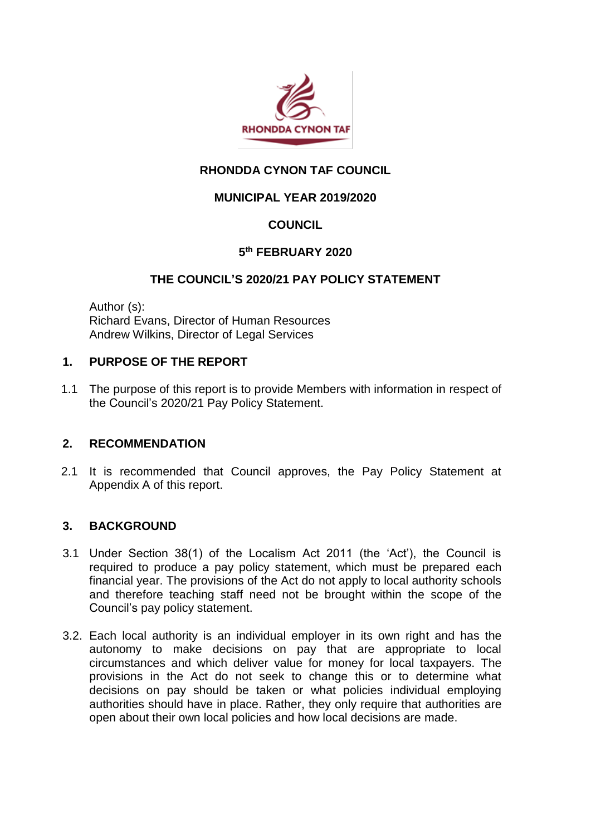

# **RHONDDA CYNON TAF COUNCIL**

# **MUNICIPAL YEAR 2019/2020**

# **COUNCIL**

# **5 th FEBRUARY 2020**

## **THE COUNCIL'S 2020/21 PAY POLICY STATEMENT**

Author (s): Richard Evans, Director of Human Resources Andrew Wilkins, Director of Legal Services

## **1. PURPOSE OF THE REPORT**

1.1 The purpose of this report is to provide Members with information in respect of the Council's 2020/21 Pay Policy Statement.

## **2. RECOMMENDATION**

2.1 It is recommended that Council approves, the Pay Policy Statement at Appendix A of this report.

## **3. BACKGROUND**

- 3.1 Under Section 38(1) of the Localism Act 2011 (the 'Act'), the Council is required to produce a pay policy statement, which must be prepared each financial year. The provisions of the Act do not apply to local authority schools and therefore teaching staff need not be brought within the scope of the Council's pay policy statement.
- 3.2. Each local authority is an individual employer in its own right and has the autonomy to make decisions on pay that are appropriate to local circumstances and which deliver value for money for local taxpayers. The provisions in the Act do not seek to change this or to determine what decisions on pay should be taken or what policies individual employing authorities should have in place. Rather, they only require that authorities are open about their own local policies and how local decisions are made.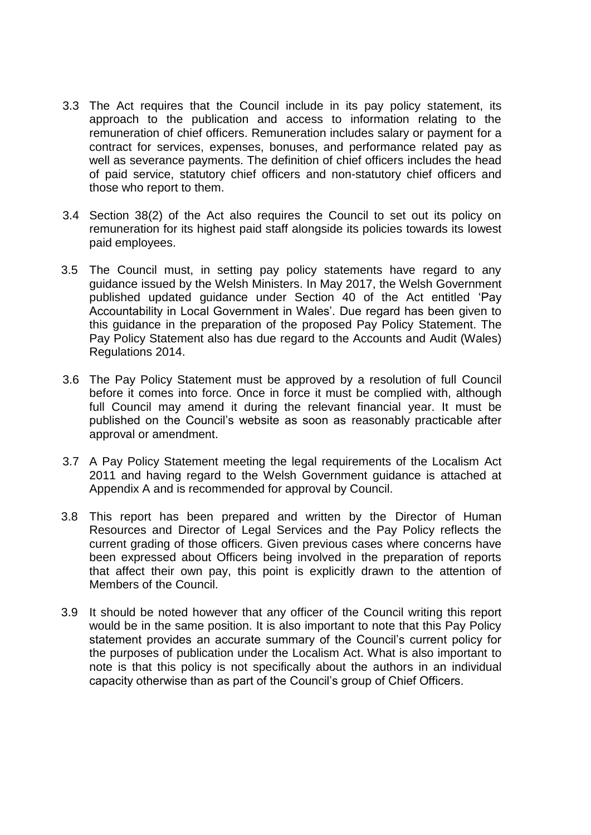- 3.3 The Act requires that the Council include in its pay policy statement, its approach to the publication and access to information relating to the remuneration of chief officers. Remuneration includes salary or payment for a contract for services, expenses, bonuses, and performance related pay as well as severance payments. The definition of chief officers includes the head of paid service, statutory chief officers and non-statutory chief officers and those who report to them.
- 3.4 Section 38(2) of the Act also requires the Council to set out its policy on remuneration for its highest paid staff alongside its policies towards its lowest paid employees.
- 3.5 The Council must, in setting pay policy statements have regard to any guidance issued by the Welsh Ministers. In May 2017, the Welsh Government published updated guidance under Section 40 of the Act entitled 'Pay Accountability in Local Government in Wales'. Due regard has been given to this guidance in the preparation of the proposed Pay Policy Statement. The Pay Policy Statement also has due regard to the Accounts and Audit (Wales) Regulations 2014.
- 3.6 The Pay Policy Statement must be approved by a resolution of full Council before it comes into force. Once in force it must be complied with, although full Council may amend it during the relevant financial year. It must be published on the Council's website as soon as reasonably practicable after approval or amendment.
- 3.7 A Pay Policy Statement meeting the legal requirements of the Localism Act 2011 and having regard to the Welsh Government guidance is attached at Appendix A and is recommended for approval by Council.
- 3.8 This report has been prepared and written by the Director of Human Resources and Director of Legal Services and the Pay Policy reflects the current grading of those officers. Given previous cases where concerns have been expressed about Officers being involved in the preparation of reports that affect their own pay, this point is explicitly drawn to the attention of Members of the Council.
- 3.9 It should be noted however that any officer of the Council writing this report would be in the same position. It is also important to note that this Pay Policy statement provides an accurate summary of the Council's current policy for the purposes of publication under the Localism Act. What is also important to note is that this policy is not specifically about the authors in an individual capacity otherwise than as part of the Council's group of Chief Officers.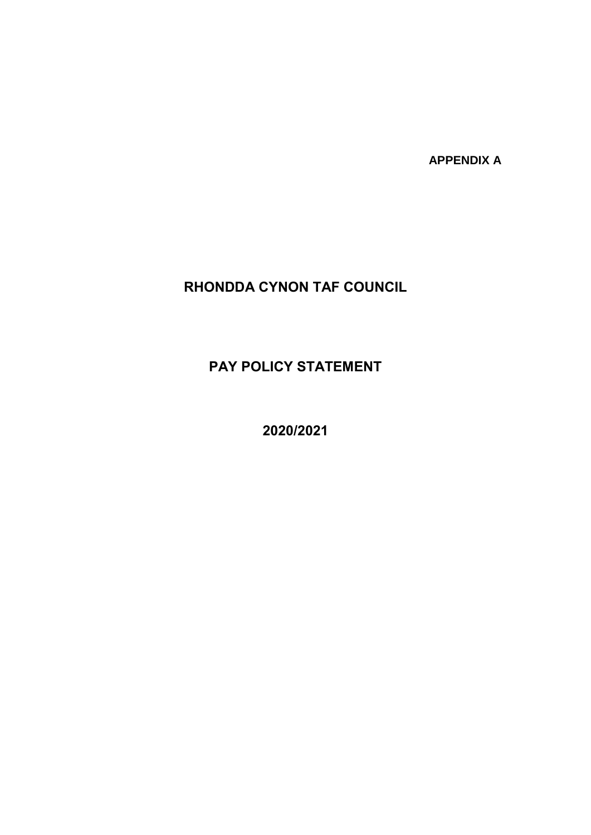**APPENDIX A**

# **RHONDDA CYNON TAF COUNCIL**

**PAY POLICY STATEMENT**

**2020/2021**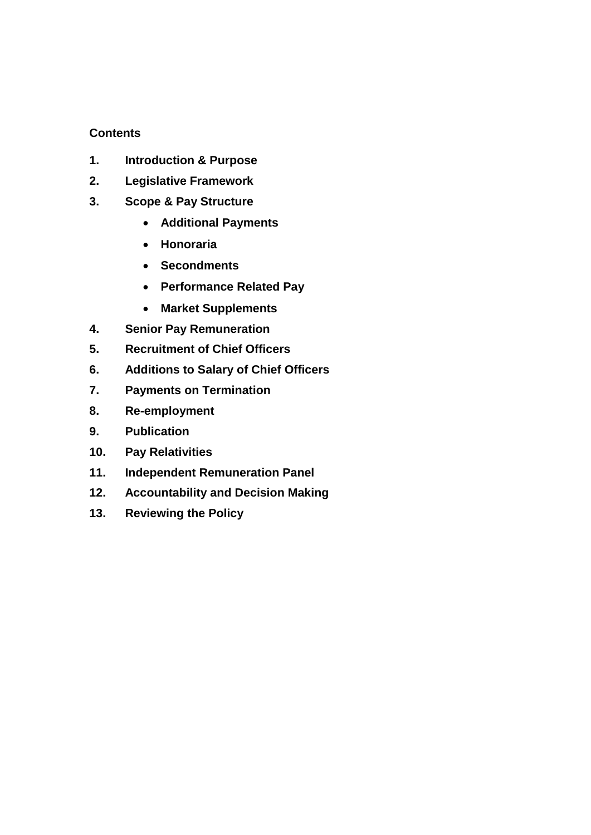## **Contents**

- **1. Introduction & Purpose**
- **2. Legislative Framework**
- **3. Scope & Pay Structure**
	- **Additional Payments**
	- **Honoraria**
	- **Secondments**
	- **Performance Related Pay**
	- **Market Supplements**
- **4. Senior Pay Remuneration**
- **5. Recruitment of Chief Officers**
- **6. Additions to Salary of Chief Officers**
- **7. Payments on Termination**
- **8. Re-employment**
- **9. Publication**
- **10. Pay Relativities**
- **11. Independent Remuneration Panel**
- **12. Accountability and Decision Making**
- **13. Reviewing the Policy**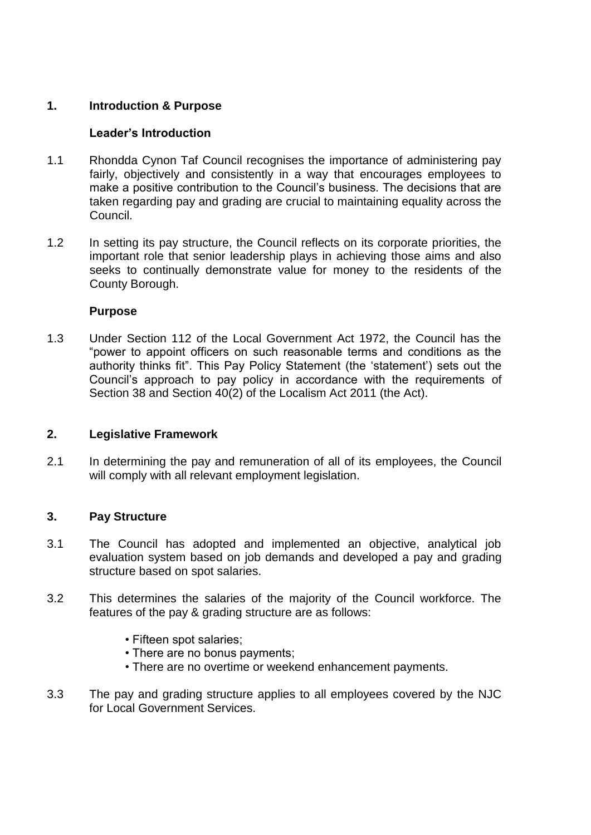## **1. Introduction & Purpose**

## **Leader's Introduction**

- 1.1 Rhondda Cynon Taf Council recognises the importance of administering pay fairly, objectively and consistently in a way that encourages employees to make a positive contribution to the Council's business. The decisions that are taken regarding pay and grading are crucial to maintaining equality across the Council.
- 1.2 In setting its pay structure, the Council reflects on its corporate priorities, the important role that senior leadership plays in achieving those aims and also seeks to continually demonstrate value for money to the residents of the County Borough.

## **Purpose**

1.3 Under Section 112 of the Local Government Act 1972, the Council has the "power to appoint officers on such reasonable terms and conditions as the authority thinks fit". This Pay Policy Statement (the 'statement') sets out the Council's approach to pay policy in accordance with the requirements of Section 38 and Section 40(2) of the Localism Act 2011 (the Act).

## **2. Legislative Framework**

2.1 In determining the pay and remuneration of all of its employees, the Council will comply with all relevant employment legislation.

# **3. Pay Structure**

- 3.1 The Council has adopted and implemented an objective, analytical job evaluation system based on job demands and developed a pay and grading structure based on spot salaries.
- 3.2 This determines the salaries of the majority of the Council workforce. The features of the pay & grading structure are as follows:
	- Fifteen spot salaries;
	- There are no bonus payments;
	- There are no overtime or weekend enhancement payments.
- 3.3 The pay and grading structure applies to all employees covered by the NJC for Local Government Services.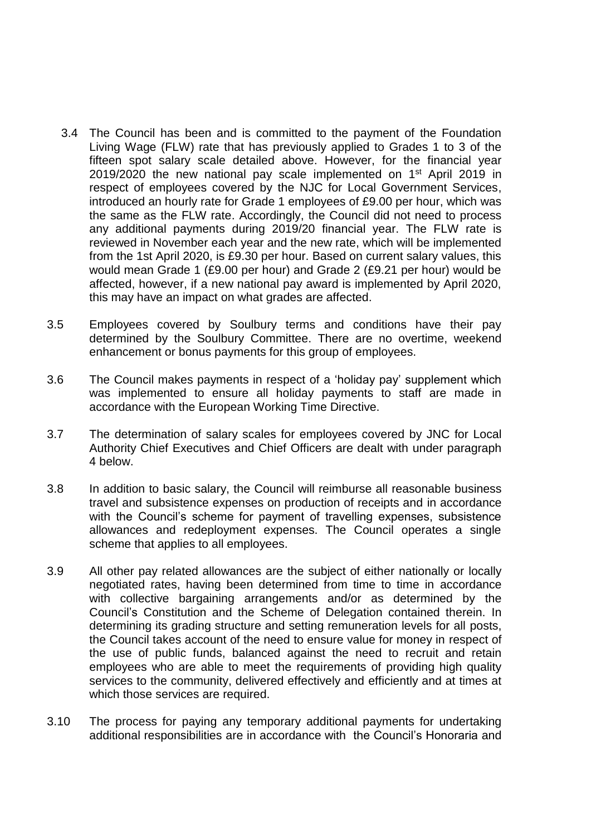- 3.4 The Council has been and is committed to the payment of the Foundation Living Wage (FLW) rate that has previously applied to Grades 1 to 3 of the fifteen spot salary scale detailed above. However, for the financial year 2019/2020 the new national pay scale implemented on 1<sup>st</sup> April 2019 in respect of employees covered by the NJC for Local Government Services, introduced an hourly rate for Grade 1 employees of £9.00 per hour, which was the same as the FLW rate. Accordingly, the Council did not need to process any additional payments during 2019/20 financial year. The FLW rate is reviewed in November each year and the new rate, which will be implemented from the 1st April 2020, is £9.30 per hour. Based on current salary values, this would mean Grade 1 (£9.00 per hour) and Grade 2 (£9.21 per hour) would be affected, however, if a new national pay award is implemented by April 2020, this may have an impact on what grades are affected.
- 3.5 Employees covered by Soulbury terms and conditions have their pay determined by the Soulbury Committee. There are no overtime, weekend enhancement or bonus payments for this group of employees.
- 3.6 The Council makes payments in respect of a 'holiday pay' supplement which was implemented to ensure all holiday payments to staff are made in accordance with the European Working Time Directive.
- 3.7 The determination of salary scales for employees covered by JNC for Local Authority Chief Executives and Chief Officers are dealt with under paragraph 4 below.
- 3.8 In addition to basic salary, the Council will reimburse all reasonable business travel and subsistence expenses on production of receipts and in accordance with the Council's scheme for payment of travelling expenses, subsistence allowances and redeployment expenses. The Council operates a single scheme that applies to all employees.
- 3.9 All other pay related allowances are the subject of either nationally or locally negotiated rates, having been determined from time to time in accordance with collective bargaining arrangements and/or as determined by the Council's Constitution and the Scheme of Delegation contained therein. In determining its grading structure and setting remuneration levels for all posts, the Council takes account of the need to ensure value for money in respect of the use of public funds, balanced against the need to recruit and retain employees who are able to meet the requirements of providing high quality services to the community, delivered effectively and efficiently and at times at which those services are required.
- 3.10 The process for paying any temporary additional payments for undertaking additional responsibilities are in accordance with the Council's Honoraria and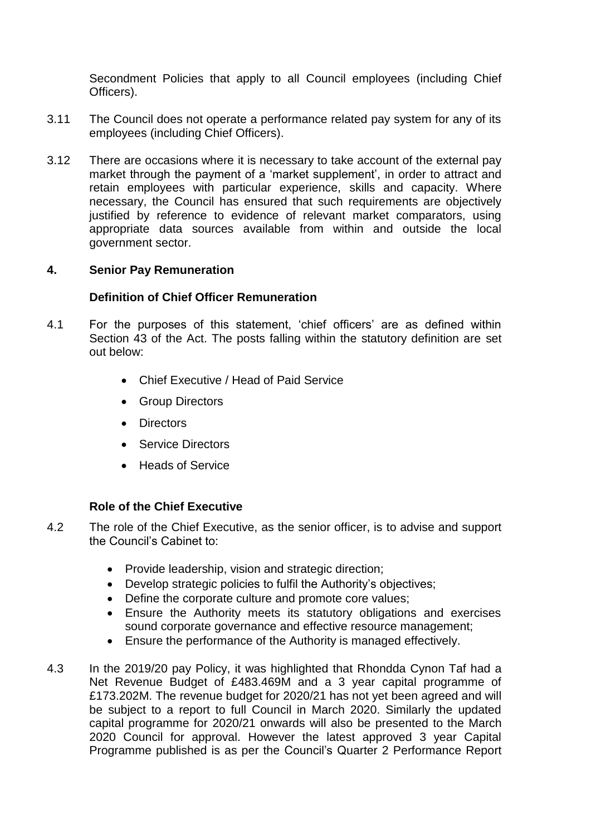Secondment Policies that apply to all Council employees (including Chief Officers).

- 3.11 The Council does not operate a performance related pay system for any of its employees (including Chief Officers).
- 3.12 There are occasions where it is necessary to take account of the external pay market through the payment of a 'market supplement', in order to attract and retain employees with particular experience, skills and capacity. Where necessary, the Council has ensured that such requirements are objectively justified by reference to evidence of relevant market comparators, using appropriate data sources available from within and outside the local government sector.

## **4. Senior Pay Remuneration**

## **Definition of Chief Officer Remuneration**

- 4.1 For the purposes of this statement, 'chief officers' are as defined within Section 43 of the Act. The posts falling within the statutory definition are set out below:
	- Chief Executive / Head of Paid Service
	- Group Directors
	- Directors
	- Service Directors
	- Heads of Service

## **Role of the Chief Executive**

- 4.2 The role of the Chief Executive, as the senior officer, is to advise and support the Council's Cabinet to:
	- Provide leadership, vision and strategic direction;
	- Develop strategic policies to fulfil the Authority's objectives;
	- Define the corporate culture and promote core values;
	- Ensure the Authority meets its statutory obligations and exercises sound corporate governance and effective resource management;
	- Ensure the performance of the Authority is managed effectively.
- 4.3 In the 2019/20 pay Policy, it was highlighted that Rhondda Cynon Taf had a Net Revenue Budget of £483.469M and a 3 year capital programme of £173.202M. The revenue budget for 2020/21 has not yet been agreed and will be subject to a report to full Council in March 2020. Similarly the updated capital programme for 2020/21 onwards will also be presented to the March 2020 Council for approval. However the latest approved 3 year Capital Programme published is as per the Council's Quarter 2 Performance Report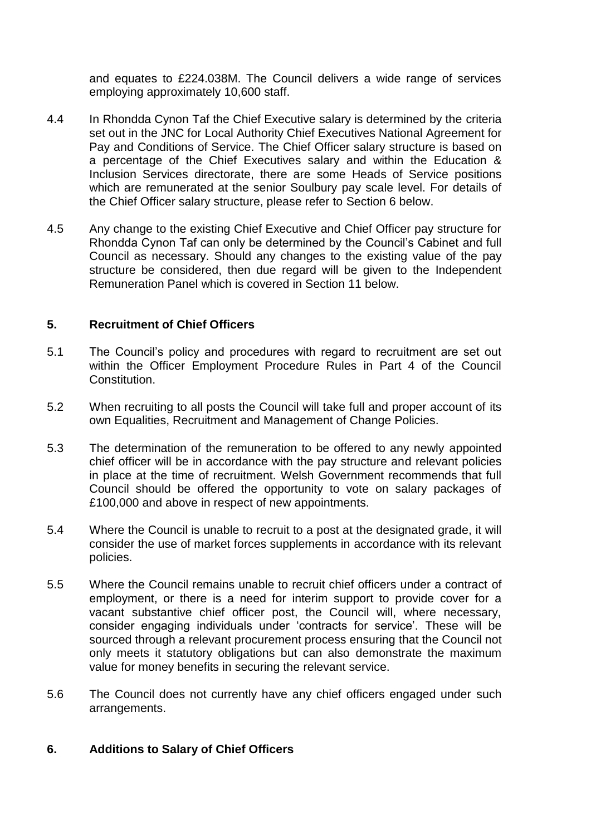and equates to £224.038M. The Council delivers a wide range of services employing approximately 10,600 staff.

- 4.4 In Rhondda Cynon Taf the Chief Executive salary is determined by the criteria set out in the JNC for Local Authority Chief Executives National Agreement for Pay and Conditions of Service. The Chief Officer salary structure is based on a percentage of the Chief Executives salary and within the Education & Inclusion Services directorate, there are some Heads of Service positions which are remunerated at the senior Soulbury pay scale level. For details of the Chief Officer salary structure, please refer to Section 6 below.
- 4.5 Any change to the existing Chief Executive and Chief Officer pay structure for Rhondda Cynon Taf can only be determined by the Council's Cabinet and full Council as necessary. Should any changes to the existing value of the pay structure be considered, then due regard will be given to the Independent Remuneration Panel which is covered in Section 11 below.

#### **5. Recruitment of Chief Officers**

- 5.1 The Council's policy and procedures with regard to recruitment are set out within the Officer Employment Procedure Rules in Part 4 of the Council Constitution.
- 5.2 When recruiting to all posts the Council will take full and proper account of its own Equalities, Recruitment and Management of Change Policies.
- 5.3 The determination of the remuneration to be offered to any newly appointed chief officer will be in accordance with the pay structure and relevant policies in place at the time of recruitment. Welsh Government recommends that full Council should be offered the opportunity to vote on salary packages of £100,000 and above in respect of new appointments.
- 5.4 Where the Council is unable to recruit to a post at the designated grade, it will consider the use of market forces supplements in accordance with its relevant policies.
- 5.5 Where the Council remains unable to recruit chief officers under a contract of employment, or there is a need for interim support to provide cover for a vacant substantive chief officer post, the Council will, where necessary, consider engaging individuals under 'contracts for service'. These will be sourced through a relevant procurement process ensuring that the Council not only meets it statutory obligations but can also demonstrate the maximum value for money benefits in securing the relevant service.
- 5.6 The Council does not currently have any chief officers engaged under such arrangements.

## **6. Additions to Salary of Chief Officers**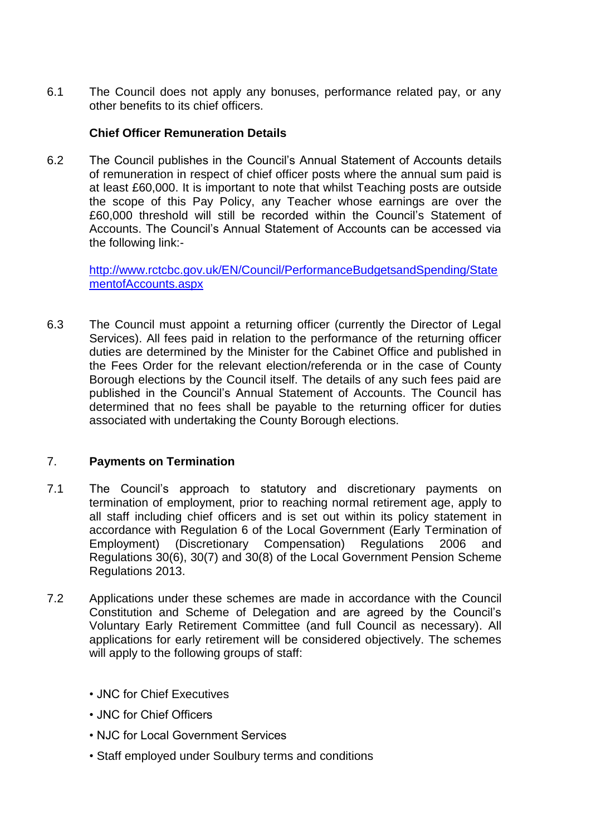6.1 The Council does not apply any bonuses, performance related pay, or any other benefits to its chief officers.

## **Chief Officer Remuneration Details**

6.2 The Council publishes in the Council's Annual Statement of Accounts details of remuneration in respect of chief officer posts where the annual sum paid is at least £60,000. It is important to note that whilst Teaching posts are outside the scope of this Pay Policy, any Teacher whose earnings are over the £60,000 threshold will still be recorded within the Council's Statement of Accounts. The Council's Annual Statement of Accounts can be accessed via the following link:-

[http://www.rctcbc.gov.uk/EN/Council/PerformanceBudgetsandSpending/State](http://www.rctcbc.gov.uk/EN/Council/PerformanceBudgetsandSpending/StatementofAccounts.aspx) [mentofAccounts.aspx](http://www.rctcbc.gov.uk/EN/Council/PerformanceBudgetsandSpending/StatementofAccounts.aspx)

6.3 The Council must appoint a returning officer (currently the Director of Legal Services). All fees paid in relation to the performance of the returning officer duties are determined by the Minister for the Cabinet Office and published in the Fees Order for the relevant election/referenda or in the case of County Borough elections by the Council itself. The details of any such fees paid are published in the Council's Annual Statement of Accounts. The Council has determined that no fees shall be payable to the returning officer for duties associated with undertaking the County Borough elections.

## 7. **Payments on Termination**

- 7.1 The Council's approach to statutory and discretionary payments on termination of employment, prior to reaching normal retirement age, apply to all staff including chief officers and is set out within its policy statement in accordance with Regulation 6 of the Local Government (Early Termination of Employment) (Discretionary Compensation) Regulations 2006 and Regulations 30(6), 30(7) and 30(8) of the Local Government Pension Scheme Regulations 2013.
- 7.2 Applications under these schemes are made in accordance with the Council Constitution and Scheme of Delegation and are agreed by the Council's Voluntary Early Retirement Committee (and full Council as necessary). All applications for early retirement will be considered objectively. The schemes will apply to the following groups of staff:
	- JNC for Chief Executives
	- JNC for Chief Officers
	- NJC for Local Government Services
	- Staff employed under Soulbury terms and conditions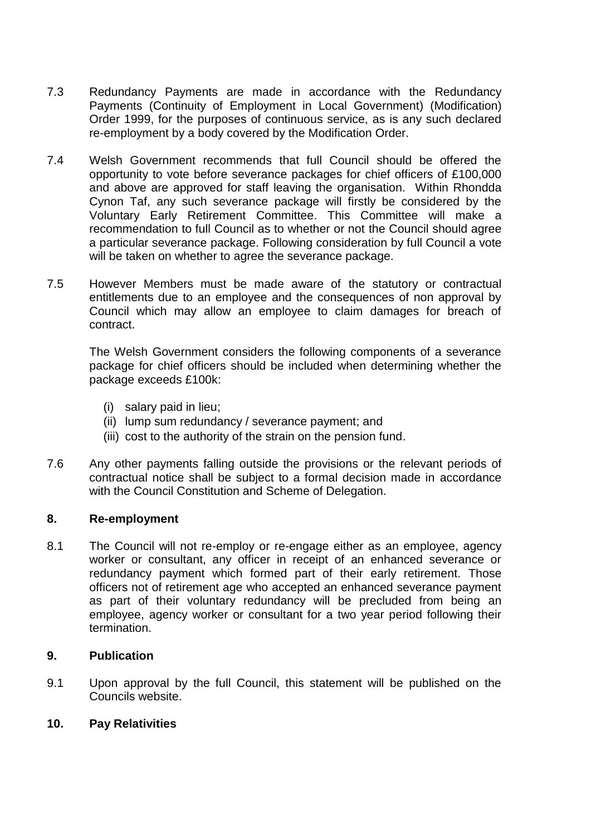- 7.3 Redundancy Payments are made in accordance with the Redundancy Payments (Continuity of Employment in Local Government) (Modification) Order 1999, for the purposes of continuous service, as is any such declared re-employment by a body covered by the Modification Order.
- 7.4 Welsh Government recommends that full Council should be offered the opportunity to vote before severance packages for chief officers of £100,000 and above are approved for staff leaving the organisation. Within Rhondda Cynon Taf, any such severance package will firstly be considered by the Voluntary Early Retirement Committee. This Committee will make a recommendation to full Council as to whether or not the Council should agree a particular severance package. Following consideration by full Council a vote will be taken on whether to agree the severance package.
- 7.5 However Members must be made aware of the statutory or contractual entitlements due to an employee and the consequences of non approval by Council which may allow an employee to claim damages for breach of contract.

The Welsh Government considers the following components of a severance package for chief officers should be included when determining whether the package exceeds £100k:

- (i) salary paid in lieu;
- (ii) lump sum redundancy / severance payment; and
- (iii) cost to the authority of the strain on the pension fund.
- 7.6 Any other payments falling outside the provisions or the relevant periods of contractual notice shall be subject to a formal decision made in accordance with the Council Constitution and Scheme of Delegation.

#### **8. Re-employment**

8.1 The Council will not re-employ or re-engage either as an employee, agency worker or consultant, any officer in receipt of an enhanced severance or redundancy payment which formed part of their early retirement. Those officers not of retirement age who accepted an enhanced severance payment as part of their voluntary redundancy will be precluded from being an employee, agency worker or consultant for a two year period following their termination.

#### **9. Publication**

9.1 Upon approval by the full Council, this statement will be published on the Councils website.

## **10. Pay Relativities**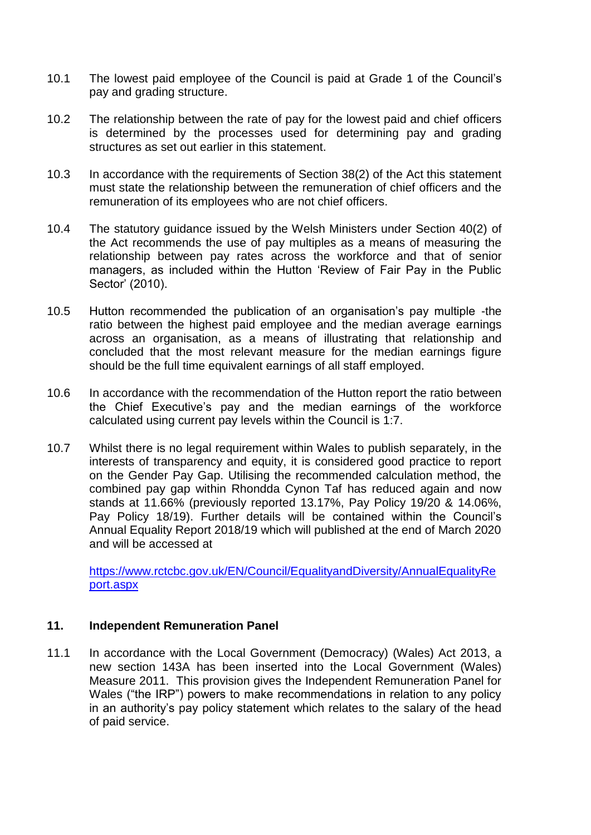- 10.1 The lowest paid employee of the Council is paid at Grade 1 of the Council's pay and grading structure.
- 10.2 The relationship between the rate of pay for the lowest paid and chief officers is determined by the processes used for determining pay and grading structures as set out earlier in this statement.
- 10.3 In accordance with the requirements of Section 38(2) of the Act this statement must state the relationship between the remuneration of chief officers and the remuneration of its employees who are not chief officers.
- 10.4 The statutory guidance issued by the Welsh Ministers under Section 40(2) of the Act recommends the use of pay multiples as a means of measuring the relationship between pay rates across the workforce and that of senior managers, as included within the Hutton 'Review of Fair Pay in the Public Sector' (2010).
- 10.5 Hutton recommended the publication of an organisation's pay multiple -the ratio between the highest paid employee and the median average earnings across an organisation, as a means of illustrating that relationship and concluded that the most relevant measure for the median earnings figure should be the full time equivalent earnings of all staff employed.
- 10.6 In accordance with the recommendation of the Hutton report the ratio between the Chief Executive's pay and the median earnings of the workforce calculated using current pay levels within the Council is 1:7.
- 10.7 Whilst there is no legal requirement within Wales to publish separately, in the interests of transparency and equity, it is considered good practice to report on the Gender Pay Gap. Utilising the recommended calculation method, the combined pay gap within Rhondda Cynon Taf has reduced again and now stands at 11.66% (previously reported 13.17%, Pay Policy 19/20 & 14.06%, Pay Policy 18/19). Further details will be contained within the Council's Annual Equality Report 2018/19 which will published at the end of March 2020 and will be accessed at

[https://www.rctcbc.gov.uk/EN/Council/EqualityandDiversity/AnnualEqualityRe](https://www.rctcbc.gov.uk/EN/Council/EqualityandDiversity/AnnualEqualityReport.aspx) [port.aspx](https://www.rctcbc.gov.uk/EN/Council/EqualityandDiversity/AnnualEqualityReport.aspx)

### **11. Independent Remuneration Panel**

11.1 In accordance with the Local Government (Democracy) (Wales) Act 2013, a new section 143A has been inserted into the Local Government (Wales) Measure 2011. This provision gives the Independent Remuneration Panel for Wales ("the IRP") powers to make recommendations in relation to any policy in an authority's pay policy statement which relates to the salary of the head of paid service.